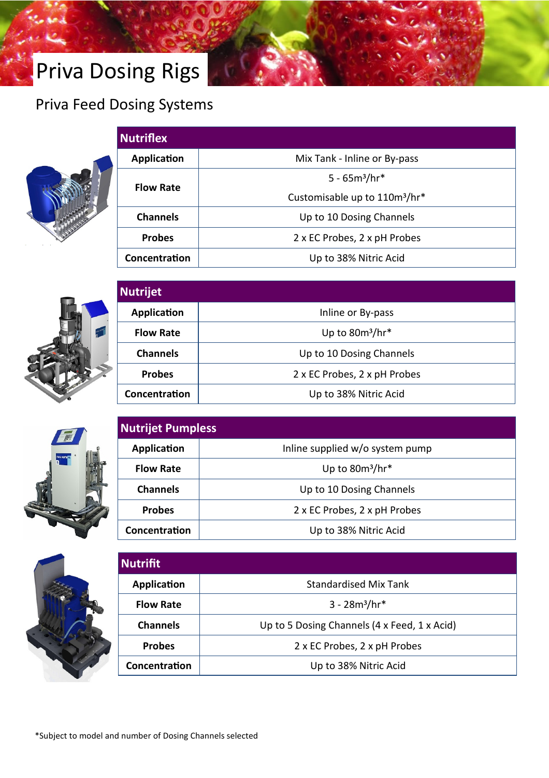# Priva Dosing Rigs

#### Priva Feed Dosing Systems



| <b>Nutriflex</b> |                                           |
|------------------|-------------------------------------------|
| Application      | Mix Tank - Inline or By-pass              |
| <b>Flow Rate</b> | $5 - 65m^3/hr*$                           |
|                  | Customisable up to 110m <sup>3</sup> /hr* |
| <b>Channels</b>  | Up to 10 Dosing Channels                  |
| <b>Probes</b>    | 2 x EC Probes, 2 x pH Probes              |
| Concentration    | Up to 38% Nitric Acid                     |



| <b>Nutrijet</b>  |                              |  |
|------------------|------------------------------|--|
| Application      | Inline or By-pass            |  |
| <b>Flow Rate</b> | Up to $80m^3/hr*$            |  |
| <b>Channels</b>  | Up to 10 Dosing Channels     |  |
| <b>Probes</b>    | 2 x EC Probes, 2 x pH Probes |  |
| Concentration    | Up to 38% Nitric Acid        |  |







| <b>Nutrifit</b>  |                                              |  |  |
|------------------|----------------------------------------------|--|--|
| Application      | <b>Standardised Mix Tank</b>                 |  |  |
| <b>Flow Rate</b> | $3 - 28m^3/hr*$                              |  |  |
| <b>Channels</b>  | Up to 5 Dosing Channels (4 x Feed, 1 x Acid) |  |  |
| <b>Probes</b>    | 2 x EC Probes, 2 x pH Probes                 |  |  |
| Concentration    | Up to 38% Nitric Acid                        |  |  |